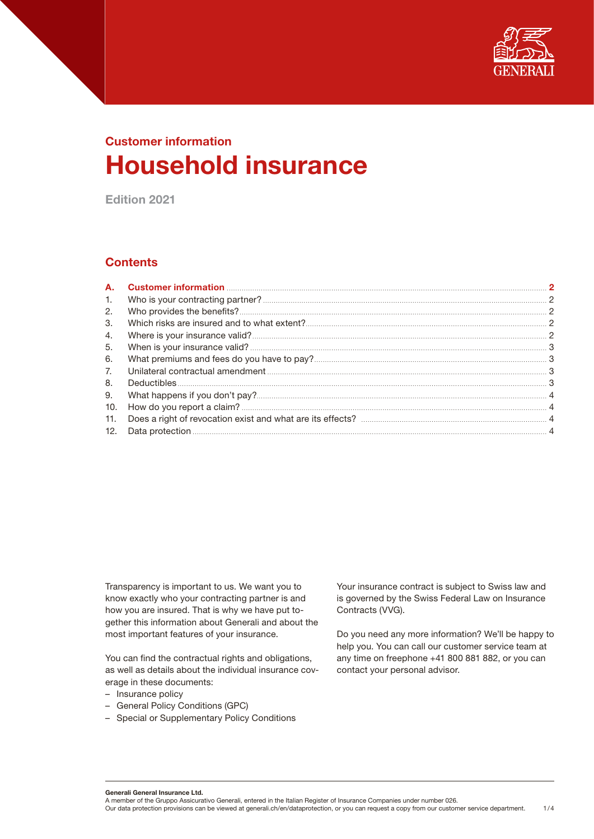

# Customer information Household insurance

Edition 2021

# **Contents**

| А.  |  |
|-----|--|
| 1.  |  |
| 2.  |  |
| 3.  |  |
| 4.  |  |
| 5.  |  |
| 6.  |  |
| 7.  |  |
| 8.  |  |
| 9.  |  |
| 10. |  |
| 11. |  |
| 12. |  |

Transparency is important to us. We want you to know exactly who your contracting partner is and how you are insured. That is why we have put together this information about Generali and about the most important features of your insurance.

You can find the contractual rights and obligations, as well as details about the individual insurance coverage in these documents:

- Insurance policy
- General Policy Conditions (GPC)
- Special or Supplementary Policy Conditions

Your insurance contract is subject to Swiss law and is governed by the Swiss Federal Law on Insurance Contracts (VVG).

Do you need any more information? We'll be happy to help you. You can call our customer service team at any time on freephone +41 800 881 882, or you can contact your personal advisor.

Generali General Insurance Ltd.

A member of the Gruppo Assicurativo Generali, entered in the Italian Register of Insurance Companies under number 026. Our data protection provisions can be viewed at generali.ch/en/dataprotection, or you can request a copy from our customer service department. 1/4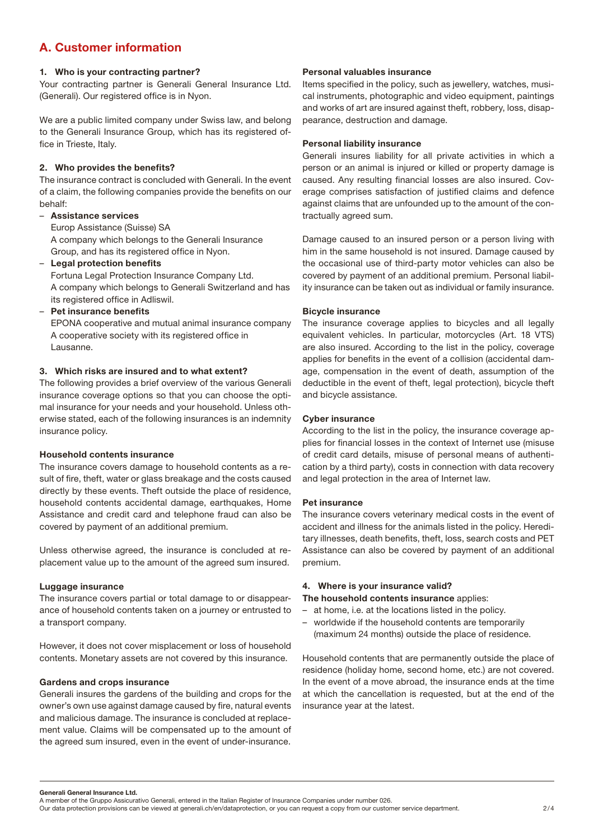# <span id="page-1-0"></span>A. Customer information

## 1. Who is your contracting partner?

Your contracting partner is Generali General Insurance Ltd. (Generali). Our registered office is in Nyon.

We are a public limited company under Swiss law, and belong to the Generali Insurance Group, which has its registered office in Trieste, Italy.

### 2. Who provides the benefits?

The insurance contract is concluded with Generali. In the event of a claim, the following companies provide the benefits on our behalf:

### – Assistance services

Europ Assistance (Suisse) SA

A company which belongs to the Generali Insurance Group, and has its registered office in Nyon.

– Legal protection benefits

Fortuna Legal Protection Insurance Company Ltd. A company which belongs to Generali Switzerland and has its registered office in Adliswil.

– Pet insurance benefits

EPONA cooperative and mutual animal insurance company A cooperative society with its registered office in Lausanne.

# 3. Which risks are insured and to what extent?

The following provides a brief overview of the various Generali insurance coverage options so that you can choose the optimal insurance for your needs and your household. Unless otherwise stated, each of the following insurances is an indemnity insurance policy.

#### Household contents insurance

The insurance covers damage to household contents as a result of fire, theft, water or glass breakage and the costs caused directly by these events. Theft outside the place of residence, household contents accidental damage, earthquakes, Home Assistance and credit card and telephone fraud can also be covered by payment of an additional premium.

Unless otherwise agreed, the insurance is concluded at replacement value up to the amount of the agreed sum insured.

#### Luggage insurance

The insurance covers partial or total damage to or disappearance of household contents taken on a journey or entrusted to a transport company.

However, it does not cover misplacement or loss of household contents. Monetary assets are not covered by this insurance.

#### Gardens and crops insurance

Generali insures the gardens of the building and crops for the owner's own use against damage caused by fire, natural events and malicious damage. The insurance is concluded at replacement value. Claims will be compensated up to the amount of the agreed sum insured, even in the event of under-insurance.

### Personal valuables insurance

Items specified in the policy, such as jewellery, watches, musical instruments, photographic and video equipment, paintings and works of art are insured against theft, robbery, loss, disappearance, destruction and damage.

# Personal liability insurance

Generali insures liability for all private activities in which a person or an animal is injured or killed or property damage is caused. Any resulting financial losses are also insured. Coverage comprises satisfaction of justified claims and defence against claims that are unfounded up to the amount of the contractually agreed sum.

Damage caused to an insured person or a person living with him in the same household is not insured. Damage caused by the occasional use of third-party motor vehicles can also be covered by payment of an additional premium. Personal liability insurance can be taken out as individual or family insurance.

#### Bicycle insurance

The insurance coverage applies to bicycles and all legally equivalent vehicles. In particular, motorcycles (Art. 18 VTS) are also insured. According to the list in the policy, coverage applies for benefits in the event of a collision (accidental damage, compensation in the event of death, assumption of the deductible in the event of theft, legal protection), bicycle theft and bicycle assistance.

#### Cyber insurance

According to the list in the policy, the insurance coverage applies for financial losses in the context of Internet use (misuse of credit card details, misuse of personal means of authentication by a third party), costs in connection with data recovery and legal protection in the area of Internet law.

#### Pet insurance

The insurance covers veterinary medical costs in the event of accident and illness for the animals listed in the policy. Hereditary illnesses, death benefits, theft, loss, search costs and PET Assistance can also be covered by payment of an additional premium.

#### 4. Where is your insurance valid?

The household contents insurance applies:

- at home, i.e. at the locations listed in the policy.
- worldwide if the household contents are temporarily (maximum 24 months) outside the place of residence.

Household contents that are permanently outside the place of residence (holiday home, second home, etc.) are not covered. In the event of a move abroad, the insurance ends at the time at which the cancellation is requested, but at the end of the insurance year at the latest.

Generali General Insurance Ltd.

A member of the Gruppo Assicurativo Generali, entered in the Italian Register of Insurance Companies under number 026.

Our data protection provisions can be viewed at generali.ch/en/dataprotection, or you can request a copy from our customer service department. 2/4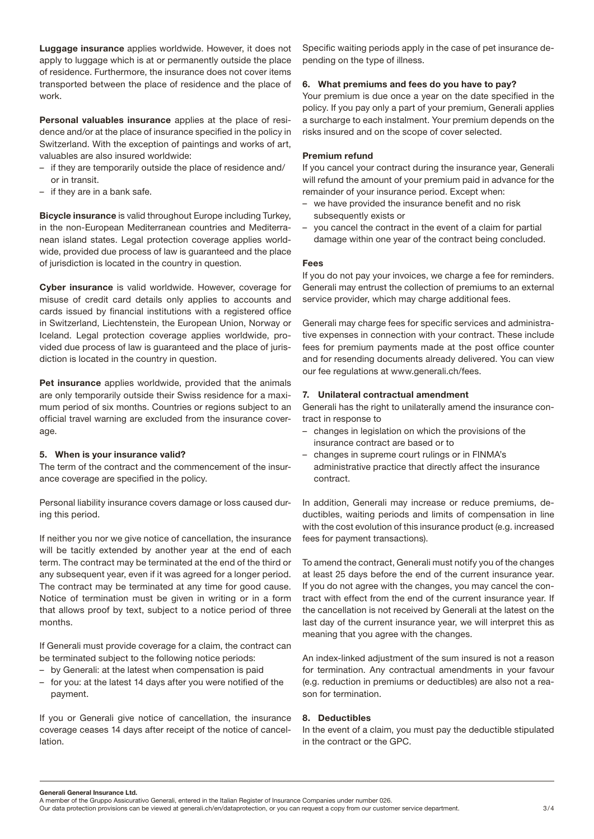<span id="page-2-0"></span>Luggage insurance applies worldwide. However, it does not apply to luggage which is at or permanently outside the place of residence. Furthermore, the insurance does not cover items transported between the place of residence and the place of work.

Personal valuables insurance applies at the place of residence and/or at the place of insurance specified in the policy in Switzerland. With the exception of paintings and works of art, valuables are also insured worldwide:

- if they are temporarily outside the place of residence and/ or in transit.
- if they are in a bank safe.

Bicycle insurance is valid throughout Europe including Turkey, in the non-European Mediterranean countries and Mediterranean island states. Legal protection coverage applies worldwide, provided due process of law is guaranteed and the place of jurisdiction is located in the country in question.

Cyber insurance is valid worldwide. However, coverage for misuse of credit card details only applies to accounts and cards issued by financial institutions with a registered office in Switzerland, Liechtenstein, the European Union, Norway or Iceland. Legal protection coverage applies worldwide, provided due process of law is guaranteed and the place of jurisdiction is located in the country in question.

Pet insurance applies worldwide, provided that the animals are only temporarily outside their Swiss residence for a maximum period of six months. Countries or regions subject to an official travel warning are excluded from the insurance coverage.

# 5. When is your insurance valid?

The term of the contract and the commencement of the insurance coverage are specified in the policy.

Personal liability insurance covers damage or loss caused during this period.

If neither you nor we give notice of cancellation, the insurance will be tacitly extended by another year at the end of each term. The contract may be terminated at the end of the third or any subsequent year, even if it was agreed for a longer period. The contract may be terminated at any time for good cause. Notice of termination must be given in writing or in a form that allows proof by text, subject to a notice period of three months.

If Generali must provide coverage for a claim, the contract can be terminated subject to the following notice periods:

- by Generali: at the latest when compensation is paid
- for you: at the latest 14 days after you were notified of the payment.

If you or Generali give notice of cancellation, the insurance coverage ceases 14 days after receipt of the notice of cancellation.

Specific waiting periods apply in the case of pet insurance depending on the type of illness.

## 6. What premiums and fees do you have to pay?

Your premium is due once a year on the date specified in the policy. If you pay only a part of your premium, Generali applies a surcharge to each instalment. Your premium depends on the risks insured and on the scope of cover selected.

# Premium refund

If you cancel your contract during the insurance year, Generali will refund the amount of your premium paid in advance for the remainder of your insurance period. Except when:

- we have provided the insurance benefit and no risk subsequently exists or
- you cancel the contract in the event of a claim for partial damage within one year of the contract being concluded.

### Fees

If you do not pay your invoices, we charge a fee for reminders. Generali may entrust the collection of premiums to an external service provider, which may charge additional fees.

Generali may charge fees for specific services and administrative expenses in connection with your contract. These include fees for premium payments made at the post office counter and for resending documents already delivered. You can view our fee regulations at www.generali.ch/fees.

# 7. Unilateral contractual amendment

Generali has the right to unilaterally amend the insurance contract in response to

- changes in legislation on which the provisions of the insurance contract are based or to
- changes in supreme court rulings or in FINMA's administrative practice that directly affect the insurance contract.

In addition, Generali may increase or reduce premiums, deductibles, waiting periods and limits of compensation in line with the cost evolution of this insurance product (e.g. increased fees for payment transactions).

To amend the contract, Generali must notify you of the changes at least 25 days before the end of the current insurance year. If you do not agree with the changes, you may cancel the contract with effect from the end of the current insurance year. If the cancellation is not received by Generali at the latest on the last day of the current insurance year, we will interpret this as meaning that you agree with the changes.

An index-linked adjustment of the sum insured is not a reason for termination. Any contractual amendments in your favour (e.g. reduction in premiums or deductibles) are also not a reason for termination.

# 8. Deductibles

In the event of a claim, you must pay the deductible stipulated in the contract or the GPC.

Generali General Insurance Ltd.

A member of the Gruppo Assicurativo Generali, entered in the Italian Register of Insurance Companies under number 026.

Our data protection provisions can be viewed at generali.ch/en/dataprotection, or you can request a copy from our customer service department. 3/4